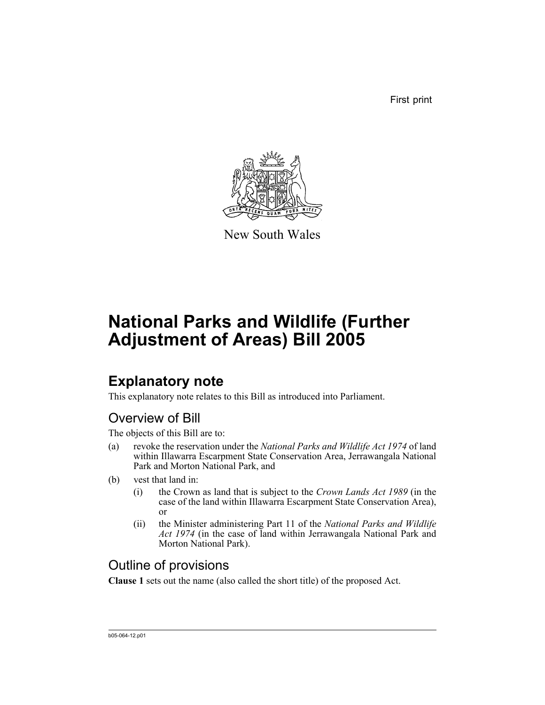First print



New South Wales

# **National Parks and Wildlife (Further Adjustment of Areas) Bill 2005**

## **Explanatory note**

This explanatory note relates to this Bill as introduced into Parliament.

### Overview of Bill

The objects of this Bill are to:

- (a) revoke the reservation under the *National Parks and Wildlife Act 1974* of land within Illawarra Escarpment State Conservation Area, Jerrawangala National Park and Morton National Park, and
- (b) vest that land in:
	- (i) the Crown as land that is subject to the *Crown Lands Act 1989* (in the case of the land within Illawarra Escarpment State Conservation Area), or
	- (ii) the Minister administering Part 11 of the *National Parks and Wildlife Act 1974* (in the case of land within Jerrawangala National Park and Morton National Park).

### Outline of provisions

**Clause 1** sets out the name (also called the short title) of the proposed Act.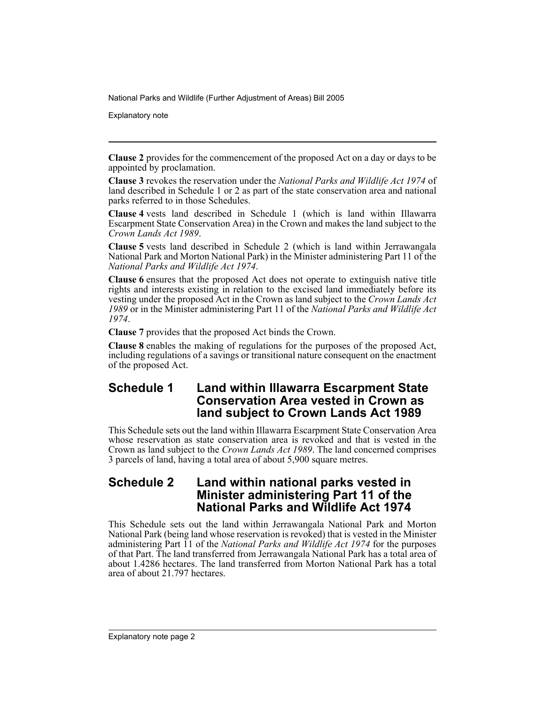Explanatory note

**Clause 2** provides for the commencement of the proposed Act on a day or days to be appointed by proclamation.

**Clause 3** revokes the reservation under the *National Parks and Wildlife Act 1974* of land described in Schedule 1 or 2 as part of the state conservation area and national parks referred to in those Schedules.

**Clause 4** vests land described in Schedule 1 (which is land within Illawarra Escarpment State Conservation Area) in the Crown and makes the land subject to the *Crown Lands Act 1989*.

**Clause 5** vests land described in Schedule 2 (which is land within Jerrawangala National Park and Morton National Park) in the Minister administering Part 11 of the *National Parks and Wildlife Act 1974*.

**Clause 6** ensures that the proposed Act does not operate to extinguish native title rights and interests existing in relation to the excised land immediately before its vesting under the proposed Act in the Crown as land subject to the *Crown Lands Act 1989* or in the Minister administering Part 11 of the *National Parks and Wildlife Act 1974*.

**Clause 7** provides that the proposed Act binds the Crown.

**Clause 8** enables the making of regulations for the purposes of the proposed Act, including regulations of a savings or transitional nature consequent on the enactment of the proposed Act.

### **Schedule 1 Land within Illawarra Escarpment State Conservation Area vested in Crown as land subject to Crown Lands Act 1989**

This Schedule sets out the land within Illawarra Escarpment State Conservation Area whose reservation as state conservation area is revoked and that is vested in the Crown as land subject to the *Crown Lands Act 1989*. The land concerned comprises 3 parcels of land, having a total area of about 5,900 square metres.

#### **Schedule 2 Land within national parks vested in Minister administering Part 11 of the National Parks and Wildlife Act 1974**

This Schedule sets out the land within Jerrawangala National Park and Morton National Park (being land whose reservation is revoked) that is vested in the Minister administering Part 11 of the *National Parks and Wildlife Act 1974* for the purposes of that Part. The land transferred from Jerrawangala National Park has a total area of about 1.4286 hectares. The land transferred from Morton National Park has a total area of about 21.797 hectares.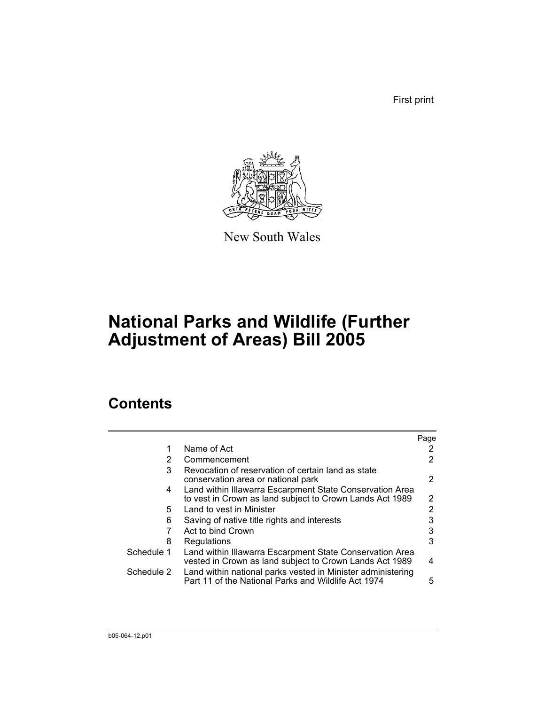First print



New South Wales

## **National Parks and Wildlife (Further Adjustment of Areas) Bill 2005**

### **Contents**

|            |                                                                                                                      | Page |
|------------|----------------------------------------------------------------------------------------------------------------------|------|
|            | Name of Act                                                                                                          |      |
| 2          | Commencement                                                                                                         | 2    |
| 3          | Revocation of reservation of certain land as state<br>conservation area or national park                             | 2    |
| 4          | Land within Illawarra Escarpment State Conservation Area<br>to vest in Crown as land subject to Crown Lands Act 1989 | 2    |
| 5.         | Land to vest in Minister                                                                                             | 2    |
| 6          | Saving of native title rights and interests                                                                          |      |
|            | Act to bind Crown                                                                                                    | 3    |
| 8          | Regulations                                                                                                          | 3    |
| Schedule 1 | Land within Illawarra Escarpment State Conservation Area<br>vested in Crown as land subject to Crown Lands Act 1989  | 4    |
| Schedule 2 | Land within national parks vested in Minister administering<br>Part 11 of the National Parks and Wildlife Act 1974   | 5    |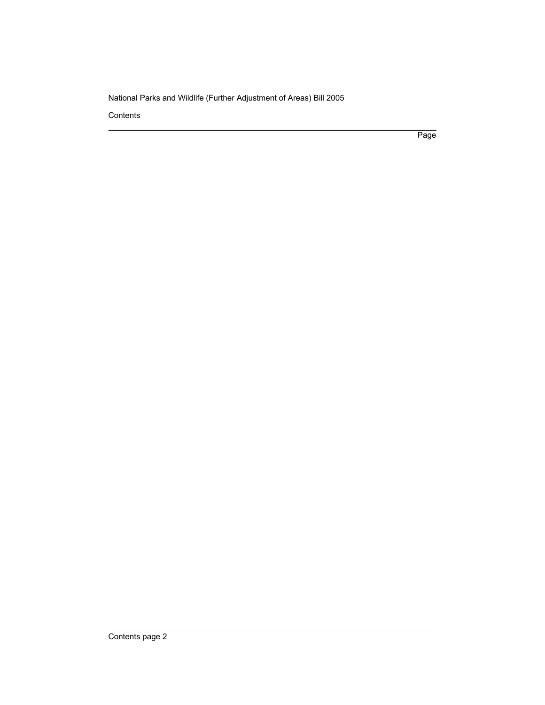**Contents** 

Page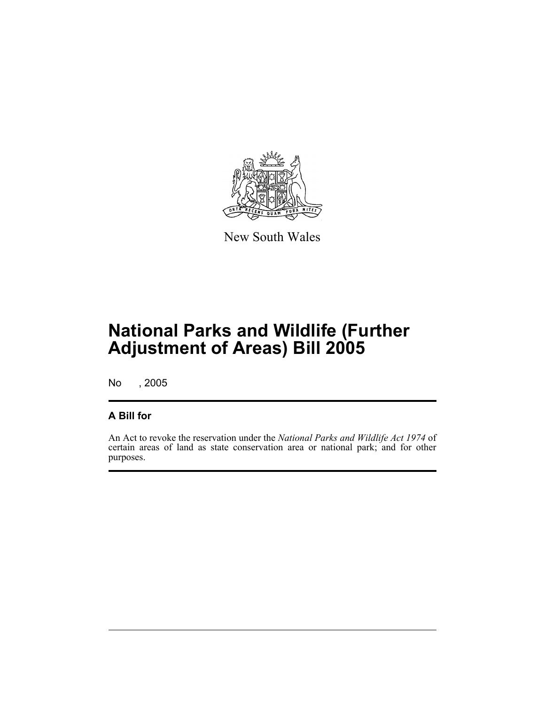

New South Wales

No , 2005

#### **A Bill for**

An Act to revoke the reservation under the *National Parks and Wildlife Act 1974* of certain areas of land as state conservation area or national park; and for other purposes.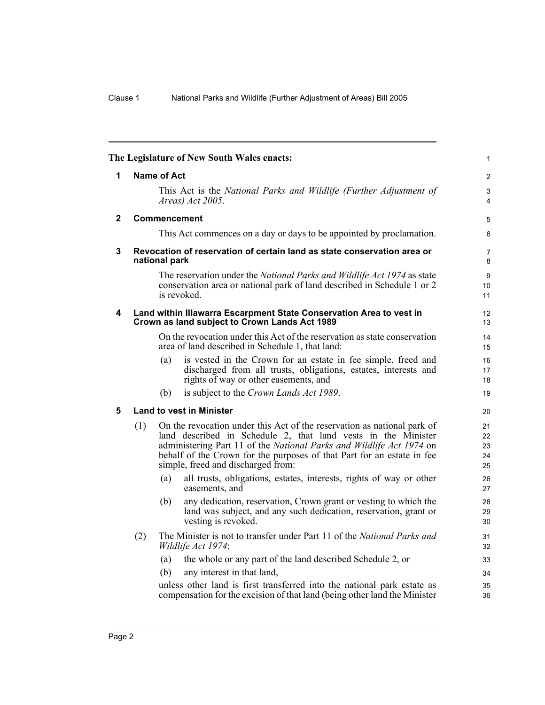<span id="page-5-3"></span><span id="page-5-2"></span><span id="page-5-1"></span><span id="page-5-0"></span>

|              |     |               | The Legislature of New South Wales enacts:                                                                                                                                                                                                                                                                                       | $\mathbf{1}$               |
|--------------|-----|---------------|----------------------------------------------------------------------------------------------------------------------------------------------------------------------------------------------------------------------------------------------------------------------------------------------------------------------------------|----------------------------|
| 1            |     | Name of Act   |                                                                                                                                                                                                                                                                                                                                  | $\overline{c}$             |
|              |     |               | This Act is the National Parks and Wildlife (Further Adjustment of<br>Areas) Act 2005.                                                                                                                                                                                                                                           | 3<br>4                     |
| $\mathbf{2}$ |     |               | Commencement                                                                                                                                                                                                                                                                                                                     | 5                          |
|              |     |               | This Act commences on a day or days to be appointed by proclamation.                                                                                                                                                                                                                                                             | 6                          |
| $\mathbf 3$  |     | national park | Revocation of reservation of certain land as state conservation area or                                                                                                                                                                                                                                                          | $\overline{7}$<br>8        |
|              |     |               | The reservation under the National Parks and Wildlife Act 1974 as state<br>conservation area or national park of land described in Schedule 1 or 2<br>is revoked.                                                                                                                                                                | 9<br>10 <sup>1</sup><br>11 |
| 4            |     |               | Land within Illawarra Escarpment State Conservation Area to vest in<br>Crown as land subject to Crown Lands Act 1989                                                                                                                                                                                                             | 12<br>13                   |
|              |     |               | On the revocation under this Act of the reservation as state conservation<br>area of land described in Schedule 1, that land:                                                                                                                                                                                                    | 14<br>15                   |
|              |     | (a)           | is vested in the Crown for an estate in fee simple, freed and<br>discharged from all trusts, obligations, estates, interests and<br>rights of way or other easements, and                                                                                                                                                        | 16<br>17<br>18             |
|              |     | (b)           | is subject to the Crown Lands Act 1989.                                                                                                                                                                                                                                                                                          | 19                         |
| 5            |     |               | <b>Land to vest in Minister</b>                                                                                                                                                                                                                                                                                                  | 20                         |
|              | (1) |               | On the revocation under this Act of the reservation as national park of<br>land described in Schedule 2, that land vests in the Minister<br>administering Part 11 of the National Parks and Wildlife Act 1974 on<br>behalf of the Crown for the purposes of that Part for an estate in fee<br>simple, freed and discharged from: | 21<br>22<br>23<br>24<br>25 |
|              |     | (a)           | all trusts, obligations, estates, interests, rights of way or other<br>easements, and                                                                                                                                                                                                                                            | 26<br>27                   |
|              |     | (b)           | any dedication, reservation, Crown grant or vesting to which the<br>land was subject, and any such dedication, reservation, grant or<br>vesting is revoked.                                                                                                                                                                      | 28<br>29<br>30             |
|              | (2) |               | The Minister is not to transfer under Part 11 of the National Parks and<br>Wildlife Act 1974:                                                                                                                                                                                                                                    | 31<br>32                   |
|              |     | (a)           | the whole or any part of the land described Schedule 2, or                                                                                                                                                                                                                                                                       | 33                         |
|              |     | (b)           | any interest in that land,                                                                                                                                                                                                                                                                                                       | 34                         |
|              |     |               | unless other land is first transferred into the national park estate as<br>compensation for the excision of that land (being other land the Minister                                                                                                                                                                             | 35<br>36                   |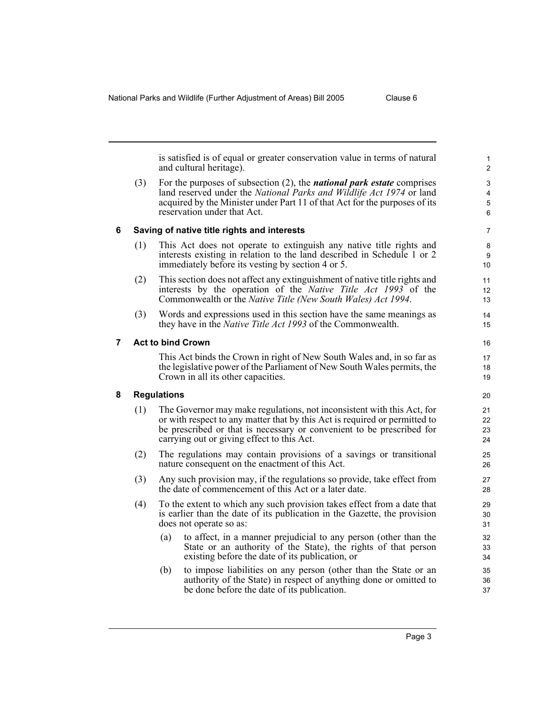<span id="page-6-2"></span><span id="page-6-1"></span><span id="page-6-0"></span>

|   |                          |                                                                                                                                  | is satisfied is of equal or greater conservation value in terms of natural<br>and cultural heritage).                                                                                                                                                                       | 1<br>$\overline{2}$  |
|---|--------------------------|----------------------------------------------------------------------------------------------------------------------------------|-----------------------------------------------------------------------------------------------------------------------------------------------------------------------------------------------------------------------------------------------------------------------------|----------------------|
|   | (3)                      |                                                                                                                                  | For the purposes of subsection $(2)$ , the <i>national park estate</i> comprises<br>land reserved under the National Parks and Wildlife Act 1974 or land<br>acquired by the Minister under Part 11 of that Act for the purposes of its<br>reservation under that Act.       | 3<br>4<br>5<br>6     |
| 6 |                          |                                                                                                                                  | Saving of native title rights and interests                                                                                                                                                                                                                                 | $\overline{7}$       |
|   | (1)                      |                                                                                                                                  | This Act does not operate to extinguish any native title rights and<br>interests existing in relation to the land described in Schedule 1 or 2<br>immediately before its vesting by section 4 or 5.                                                                         | 8<br>9<br>10         |
|   | (2)                      |                                                                                                                                  | This section does not affect any extinguishment of native title rights and<br>interests by the operation of the <i>Native Title Act 1993</i> of the<br>Commonwealth or the <i>Native Title (New South Wales) Act 1994</i> .                                                 | 11<br>12<br>13       |
|   | (3)                      |                                                                                                                                  | Words and expressions used in this section have the same meanings as<br>they have in the Native Title Act 1993 of the Commonwealth.                                                                                                                                         | 14<br>15             |
| 7 | <b>Act to bind Crown</b> |                                                                                                                                  |                                                                                                                                                                                                                                                                             | 16                   |
|   |                          |                                                                                                                                  | This Act binds the Crown in right of New South Wales and, in so far as<br>the legislative power of the Parliament of New South Wales permits, the<br>Crown in all its other capacities.                                                                                     | 17<br>18<br>19       |
| 8 |                          | <b>Regulations</b>                                                                                                               |                                                                                                                                                                                                                                                                             | 20                   |
|   | (1)                      |                                                                                                                                  | The Governor may make regulations, not inconsistent with this Act, for<br>or with respect to any matter that by this Act is required or permitted to<br>be prescribed or that is necessary or convenient to be prescribed for<br>carrying out or giving effect to this Act. | 21<br>22<br>23<br>24 |
|   | (2)                      | The regulations may contain provisions of a savings or transitional<br>nature consequent on the enactment of this Act.           |                                                                                                                                                                                                                                                                             | 25<br>26             |
|   | (3)                      | Any such provision may, if the regulations so provide, take effect from<br>the date of commencement of this Act or a later date. |                                                                                                                                                                                                                                                                             | 27<br>28             |
|   | (4)                      |                                                                                                                                  | To the extent to which any such provision takes effect from a date that<br>is earlier than the date of its publication in the Gazette, the provision<br>does not operate so as:                                                                                             | 29<br>30<br>31       |
|   |                          | (a)                                                                                                                              | to affect, in a manner prejudicial to any person (other than the<br>State or an authority of the State), the rights of that person<br>existing before the date of its publication, or                                                                                       | 32<br>33<br>34       |
|   |                          | (b)                                                                                                                              | to impose liabilities on any person (other than the State or an<br>authority of the State) in respect of anything done or omitted to<br>be done before the date of its publication.                                                                                         | 35<br>36<br>37       |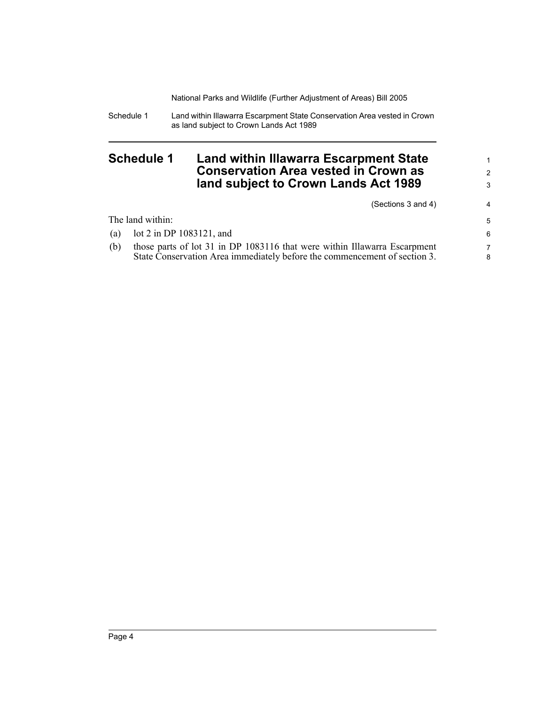Schedule 1 Land within Illawarra Escarpment State Conservation Area vested in Crown as land subject to Crown Lands Act 1989

### <span id="page-7-0"></span>**Schedule 1 Land within Illawarra Escarpment State Conservation Area vested in Crown as land subject to Crown Lands Act 1989**

(Sections 3 and 4)

1 2 3

4

|     | The land within:                                                          | 5 |
|-----|---------------------------------------------------------------------------|---|
|     | (a) $\cot 2$ in DP 1083121, and                                           | 6 |
| (b) | those parts of lot 31 in DP 1083116 that were within Illawarra Escarpment |   |
|     | State Conservation Area immediately before the commencement of section 3. | 8 |